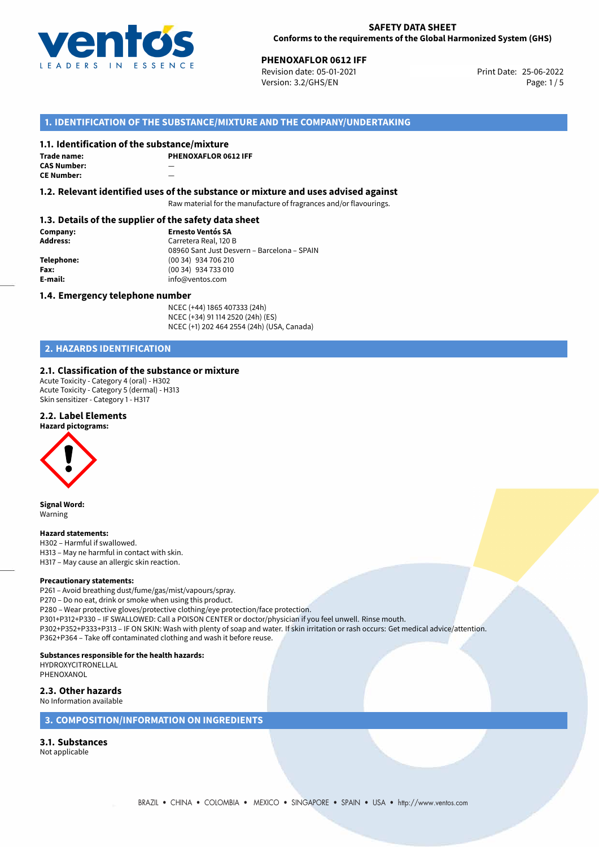

**PHENOXAFLOR 0612 IFF**<br> **25-06-2022 Revision date: 05-01-2021** Print Date: 25-06-2022 Version: 3.2/GHS/EN Page: 1/5

# **1. IDENTIFICATION OF THE SUBSTANCE/MIXTURE AND THE COMPANY/UNDERTAKING**

## **1.1. Identification of the substance/mixture**

| Trade name:        | PI |
|--------------------|----|
| <b>CAS Number:</b> |    |
| <b>CE Number:</b>  |    |

**PHENOXAFLOR 0612 IFF**

**1.2. Relevant identified uses of the substance or mixture and uses advised against**

Raw material for the manufacture of fragrances and/or flavourings.

### **1.3. Details of the supplier of the safety data sheet**

**Company: Ernesto Ventós SA Address:** Carretera Real, 120 B 08960 Sant Just Desvern – Barcelona – SPAIN **Telephone:** (00 34) 934 706 210 **Fax:** (00 34) 934 733 010<br> **E-mail: E-mail:** info@ventos.com **E-mail:** info@ventos.com

#### **1.4. Emergency telephone number**

NCEC (+44) 1865 407333 (24h) NCEC (+34) 91 114 2520 (24h) (ES) NCEC (+1) 202 464 2554 (24h) (USA, Canada)

# **2. HAZARDS IDENTIFICATION**

## **2.1. Classification of the substance or mixture**

Acute Toxicity - Category 4 (oral) - H302 Acute Toxicity - Category 5 (dermal) - H313 Skin sensitizer - Category 1 - H317

#### **2.2. Label Elements**

#### **Hazard pictograms:**



**Signal Word:** Warning

#### **Hazard statements:**

H302 – Harmful if swallowed. H313 – May ne harmful in contact with skin.

H317 – May cause an allergic skin reaction.

#### **Precautionary statements:**

P261 – Avoid breathing dust/fume/gas/mist/vapours/spray. P270 – Do no eat, drink or smoke when using this product. P280 – Wear protective gloves/protective clothing/eye protection/face protection. P301+P312+P330 – IF SWALLOWED: Call a POISON CENTER or doctor/physician if you feel unwell. Rinse mouth. P302+P352+P333+P313 – IF ON SKIN: Wash with plenty of soap and water. If skin irritation or rash occurs: Get medical advice/attention. P362+P364 – Take off contaminated clothing and wash it before reuse.

# **Substances responsible for the health hazards:**

HYDROXYCITRONELLAL PHENOXANOL

**2.3. Other hazards**

# No Information available

# **3. COMPOSITION/INFORMATION ON INGREDIENTS**

# **3.1. Substances**

Not applicable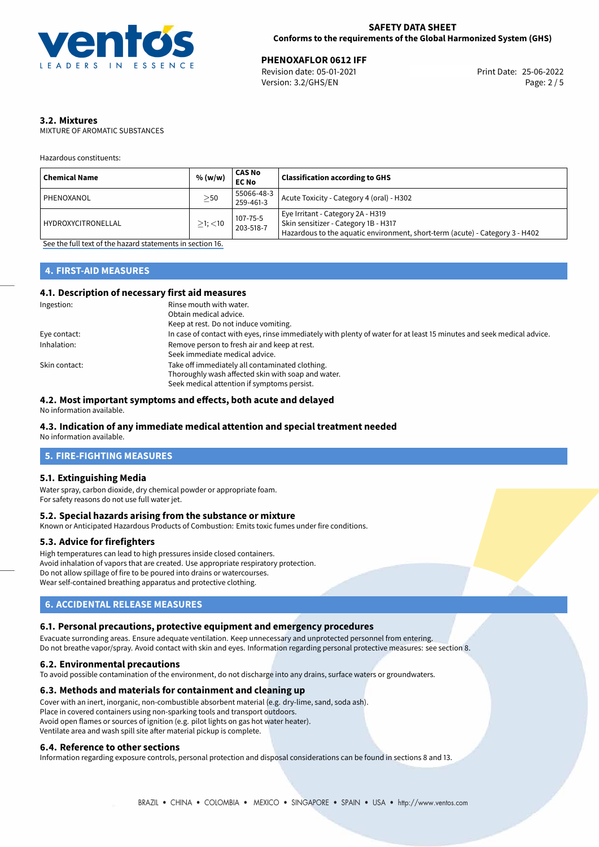

**PHENOXAFLOR 0612 IFF**<br>
Revision date: 05-01-2021 **Print Date: 25-06-2022** Version: 3.2/GHS/EN Page: 2 / 5

# **3.2. Mixtures**

MIXTURE OF AROMATIC SUBSTANCES

Hazardous constituents:

| <b>Chemical Name</b>      | % (w/w)       | <b>CAS No</b><br><b>EC No</b> | <b>Classification according to GHS</b>                                                                                                                    |
|---------------------------|---------------|-------------------------------|-----------------------------------------------------------------------------------------------------------------------------------------------------------|
| PHENOXANOL                | $\geq$ 50     | 55066-48-3<br>259-461-3       | Acute Toxicity - Category 4 (oral) - H302                                                                                                                 |
| <b>HYDROXYCITRONELLAL</b> | $>1$ ; $<$ 10 | 107-75-5<br>203-518-7         | Eye Irritant - Category 2A - H319<br>Skin sensitizer - Category 1B - H317<br>Hazardous to the aquatic environment, short-term (acute) - Category 3 - H402 |

[See the full text of the hazard statements in section 16.](#page-4-0)

# **4. FIRST-AID MEASURES**

## **4.1. Description of necessary first aid measures**

| Ingestion:    | Rinse mouth with water.                                                                                               |
|---------------|-----------------------------------------------------------------------------------------------------------------------|
|               | Obtain medical advice.                                                                                                |
|               | Keep at rest. Do not induce vomiting.                                                                                 |
| Eye contact:  | In case of contact with eyes, rinse immediately with plenty of water for at least 15 minutes and seek medical advice. |
| Inhalation:   | Remove person to fresh air and keep at rest.                                                                          |
|               | Seek immediate medical advice.                                                                                        |
| Skin contact: | Take off immediately all contaminated clothing.                                                                       |
|               | Thoroughly wash affected skin with soap and water.                                                                    |
|               | Seek medical attention if symptoms persist.                                                                           |

## **4.2. Most important symptoms and effects, both acute and delayed**

No information available.

# **4.3. Indication of any immediate medical attention and special treatment needed**

No information available.

# **5. FIRE-FIGHTING MEASURES**

#### **5.1. Extinguishing Media**

Water spray, carbon dioxide, dry chemical powder or appropriate foam. For safety reasons do not use full water jet.

## **5.2. Special hazards arising from the substance or mixture**

Known or Anticipated Hazardous Products of Combustion: Emits toxic fumes under fire conditions.

#### **5.3. Advice for firefighters**

High temperatures can lead to high pressures inside closed containers. Avoid inhalation of vapors that are created. Use appropriate respiratory protection. Do not allow spillage of fire to be poured into drains or watercourses. Wear self-contained breathing apparatus and protective clothing.

# **6. ACCIDENTAL RELEASE MEASURES**

#### **6.1. Personal precautions, protective equipment and emergency procedures**

Evacuate surronding areas. Ensure adequate ventilation. Keep unnecessary and unprotected personnel from entering. Do not breathe vapor/spray. Avoid contact with skin and eyes. Information regarding personal protective measures: see section 8.

#### **6.2. Environmental precautions**

To avoid possible contamination of the environment, do not discharge into any drains, surface waters or groundwaters.

#### **6.3. Methods and materials for containment and cleaning up**

Cover with an inert, inorganic, non-combustible absorbent material (e.g. dry-lime, sand, soda ash). Place in covered containers using non-sparking tools and transport outdoors. Avoid open flames or sources of ignition (e.g. pilot lights on gas hot water heater). Ventilate area and wash spill site after material pickup is complete.

#### **6.4. Reference to other sections**

Information regarding exposure controls, personal protection and disposal considerations can be found in sections 8 and 13.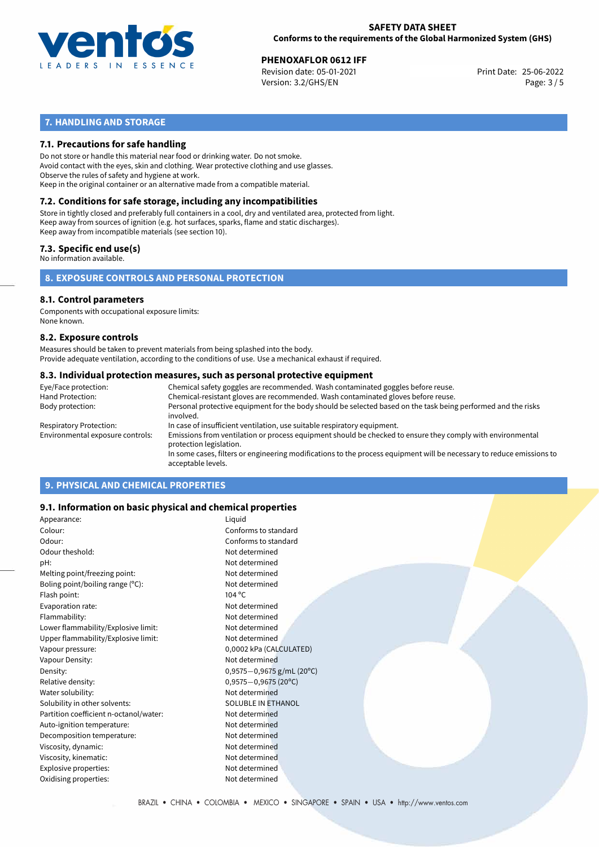

**PHENOXAFLOR 0612 IFF**<br>
Revision date: 05-01-2021 **Print Date: 25-06-2022** Version: 3.2/GHS/EN Page: 3 / 5

# **7. HANDLING AND STORAGE**

### **7.1. Precautions for safe handling**

Do not store or handle this material near food or drinking water. Do not smoke. Avoid contact with the eyes, skin and clothing. Wear protective clothing and use glasses. Observe the rules of safety and hygiene at work. Keep in the original container or an alternative made from a compatible material.

# **7.2. Conditions for safe storage, including any incompatibilities**

Store in tightly closed and preferably full containers in a cool, dry and ventilated area, protected from light. Keep away from sources of ignition (e.g. hot surfaces, sparks, flame and static discharges). Keep away from incompatible materials (see section 10).

#### **7.3. Specific end use(s)**

No information available.

## **8. EXPOSURE CONTROLS AND PERSONAL PROTECTION**

# **8.1. Control parameters**

Components with occupational exposure limits: None known.

#### **8.2. Exposure controls**

Measures should be taken to prevent materials from being splashed into the body. Provide adequate ventilation, according to the conditions of use. Use a mechanical exhaust if required.

#### **8.3. Individual protection measures, such as personal protective equipment**

| Eye/Face protection:             | Chemical safety goggles are recommended. Wash contaminated goggles before reuse.                                                            |
|----------------------------------|---------------------------------------------------------------------------------------------------------------------------------------------|
| Hand Protection:                 | Chemical-resistant gloves are recommended. Wash contaminated gloves before reuse.                                                           |
| Body protection:                 | Personal protective equipment for the body should be selected based on the task being performed and the risks<br>involved.                  |
| Respiratory Protection:          | In case of insufficient ventilation, use suitable respiratory equipment.                                                                    |
| Environmental exposure controls: | Emissions from ventilation or process equipment should be checked to ensure they comply with environmental<br>protection legislation.       |
|                                  | In some cases, filters or engineering modifications to the process equipment will be necessary to reduce emissions to<br>acceptable levels. |
|                                  |                                                                                                                                             |

# **9. PHYSICAL AND CHEMICAL PROPERTIES**

#### **9.1. Information on basic physical and chemical properties**

| Appearance:                            | Liquid                      |  |
|----------------------------------------|-----------------------------|--|
| Colour:                                | Conforms to standard        |  |
| Odour:                                 | Conforms to standard        |  |
| Odour theshold:                        | Not determined              |  |
| pH:                                    | Not determined              |  |
| Melting point/freezing point:          | Not determined              |  |
| Boling point/boiling range $(°C)$ :    | Not determined              |  |
| Flash point:                           | $104\,^{\circ}$ C           |  |
| Evaporation rate:                      | Not determined              |  |
| Flammability:                          | Not determined              |  |
| Lower flammability/Explosive limit:    | Not determined              |  |
| Upper flammability/Explosive limit:    | Not determined              |  |
| Vapour pressure:                       | 0,0002 kPa (CALCULATED)     |  |
| Vapour Density:                        | Not determined              |  |
| Density:                               | $0,9575-0,9675$ g/mL (20°C) |  |
| Relative density:                      | $0,9575 - 0,9675$ (20°C)    |  |
| Water solubility:                      | Not determined              |  |
| Solubility in other solvents:          | SOLUBLE IN ETHANOL          |  |
| Partition coefficient n-octanol/water: | Not determined              |  |
| Auto-ignition temperature:             | Not determined              |  |
| Decomposition temperature:             | Not determined              |  |
| Viscosity, dynamic:                    | Not determined              |  |
| Viscosity, kinematic:                  | Not determined              |  |
| Explosive properties:                  | Not determined              |  |
| Oxidising properties:                  | Not determined              |  |
|                                        |                             |  |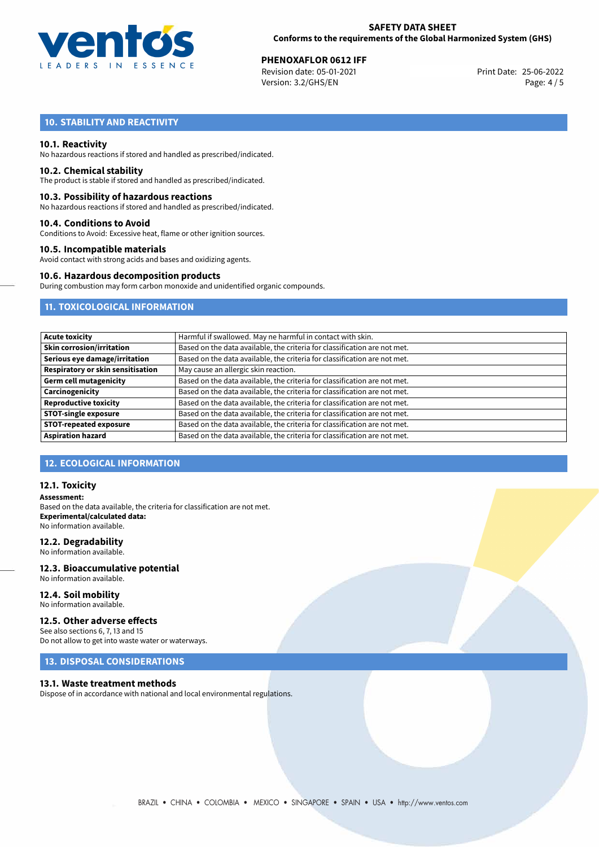

**PHENOXAFLOR 0612 IFF**<br>
Revision date: 05-01-2021 **Print Date: 25-06-2022** Version: 3.2/GHS/EN Page: 4 / 5

# **10. STABILITY AND REACTIVITY**

#### **10.1. Reactivity**

No hazardous reactions if stored and handled as prescribed/indicated.

#### **10.2. Chemical stability**

The product is stable if stored and handled as prescribed/indicated.

#### **10.3. Possibility of hazardous reactions**

No hazardous reactions if stored and handled as prescribed/indicated.

#### **10.4. Conditions to Avoid**

Conditions to Avoid: Excessive heat, flame or other ignition sources.

#### **10.5. Incompatible materials**

Avoid contact with strong acids and bases and oxidizing agents.

#### **10.6. Hazardous decomposition products**

During combustion may form carbon monoxide and unidentified organic compounds.

## **11. TOXICOLOGICAL INFORMATION**

| <b>Acute toxicity</b>             | Harmful if swallowed. May ne harmful in contact with skin.                |
|-----------------------------------|---------------------------------------------------------------------------|
| <b>Skin corrosion/irritation</b>  | Based on the data available, the criteria for classification are not met. |
| Serious eye damage/irritation     | Based on the data available, the criteria for classification are not met. |
| Respiratory or skin sensitisation | May cause an allergic skin reaction.                                      |
| <b>Germ cell mutagenicity</b>     | Based on the data available, the criteria for classification are not met. |
| Carcinogenicity                   | Based on the data available, the criteria for classification are not met. |
| <b>Reproductive toxicity</b>      | Based on the data available, the criteria for classification are not met. |
| <b>STOT-single exposure</b>       | Based on the data available, the criteria for classification are not met. |
| <b>STOT-repeated exposure</b>     | Based on the data available, the criteria for classification are not met. |
| <b>Aspiration hazard</b>          | Based on the data available, the criteria for classification are not met. |

#### **12. ECOLOGICAL INFORMATION**

#### **12.1. Toxicity**

**Assessment:** Based on the data available, the criteria for classification are not met. **Experimental/calculated data:** No information available.

#### **12.2. Degradability**

No information available.

#### **12.3. Bioaccumulative potential** No information available.

**12.4. Soil mobility**

# No information available.

## **12.5. Other adverse effects**

See also sections 6, 7, 13 and 15 Do not allow to get into waste water or waterways.

## **13. DISPOSAL CONSIDERATIONS**

#### **13.1. Waste treatment methods**

Dispose of in accordance with national and local environmental regulations.